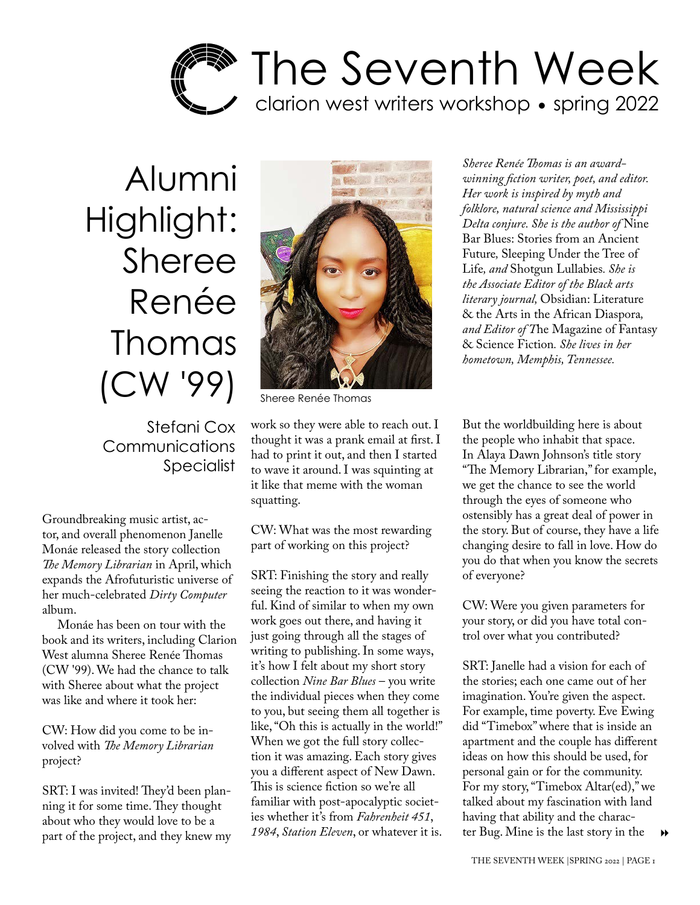

Alumni Highlight: Sheree Renée Thomas (CW '99)

> Stefani Cox **Communications** Specialist

Groundbreaking music artist, actor, and overall phenomenon Janelle Monáe released the story collection *The Memory Librarian* in April, which expands the Afrofuturistic universe of her much-celebrated *Dirty Computer*  album.

Monáe has been on tour with the book and its writers, including Clarion West alumna Sheree Renée Thomas (CW '99). We had the chance to talk with Sheree about what the project was like and where it took her:

CW: How did you come to be involved with *The Memory Librarian* project?

SRT: I was invited! They'd been planning it for some time. They thought about who they would love to be a part of the project, and they knew my



Sheree Renée Thomas

work so they were able to reach out. I thought it was a prank email at first. I had to print it out, and then I started to wave it around. I was squinting at it like that meme with the woman squatting.

CW: What was the most rewarding part of working on this project?

SRT: Finishing the story and really seeing the reaction to it was wonderful. Kind of similar to when my own work goes out there, and having it just going through all the stages of writing to publishing. In some ways, it's how I felt about my short story collection *Nine Bar Blues* – you write the individual pieces when they come to you, but seeing them all together is like, "Oh this is actually in the world!" When we got the full story collection it was amazing. Each story gives you a different aspect of New Dawn. This is science fiction so we're all familiar with post-apocalyptic societies whether it's from *Fahrenheit 451*, *1984*, *Station Eleven*, or whatever it is.

*Sheree Renée Thomas is an awardwinning fiction writer, poet, and editor. Her work is inspired by myth and folklore, natural science and Mississippi Delta conjure. She is the author of* Nine Bar Blues: Stories from an Ancient Future*,* Sleeping Under the Tree of Life*, and* Shotgun Lullabies*. She is the Associate Editor of the Black arts literary journal,* Obsidian: Literature & the Arts in the African Diaspora*, and Editor of T*he Magazine of Fantasy & Science Fiction*. She lives in her hometown, Memphis, Tennessee.*

But the worldbuilding here is about the people who inhabit that space. In Alaya Dawn Johnson's title story "The Memory Librarian," for example, we get the chance to see the world through the eyes of someone who ostensibly has a great deal of power in the story. But of course, they have a life changing desire to fall in love. How do you do that when you know the secrets of everyone?

CW: Were you given parameters for your story, or did you have total control over what you contributed?

 $\rightarrow$ SRT: Janelle had a vision for each of the stories; each one came out of her imagination. You're given the aspect. For example, time poverty. Eve Ewing did "Timebox" where that is inside an apartment and the couple has different ideas on how this should be used, for personal gain or for the community. For my story, "Timebox Altar(ed)," we talked about my fascination with land having that ability and the character Bug. Mine is the last story in the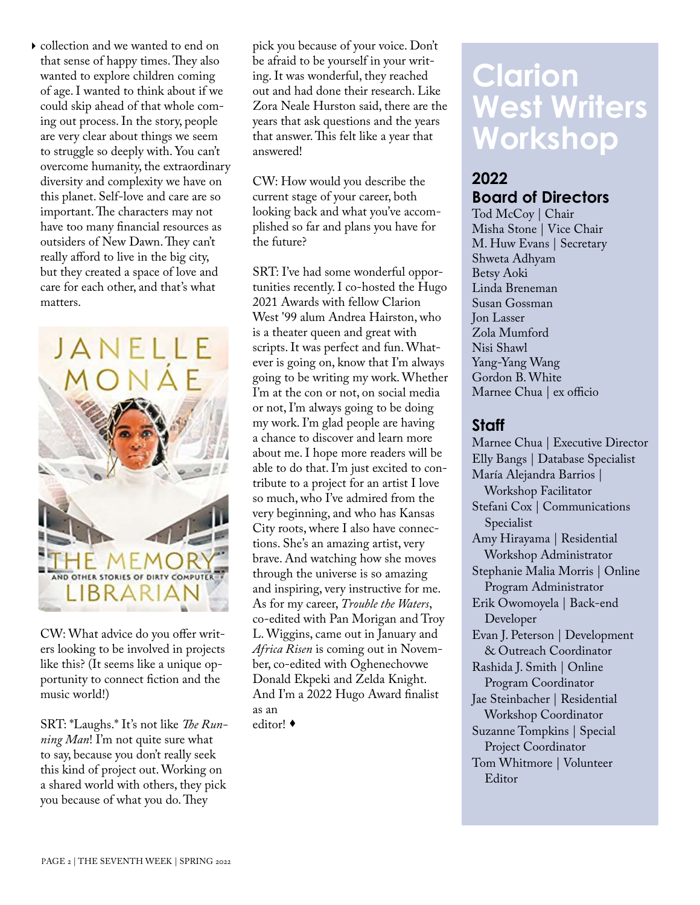collection and we wanted to end on that sense of happy times. They also wanted to explore children coming of age. I wanted to think about if we could skip ahead of that whole coming out process. In the story, people are very clear about things we seem to struggle so deeply with. You can't overcome humanity, the extraordinary diversity and complexity we have on this planet. Self-love and care are so important. The characters may not have too many financial resources as outsiders of New Dawn. They can't really afford to live in the big city, but they created a space of love and care for each other, and that's what matters.



CW: What advice do you offer writers looking to be involved in projects like this? (It seems like a unique opportunity to connect fiction and the music world!)

SRT: \*Laughs.\* It's not like *The Running Man*! I'm not quite sure what to say, because you don't really seek this kind of project out. Working on a shared world with others, they pick you because of what you do. They

pick you because of your voice. Don't be afraid to be yourself in your writing. It was wonderful, they reached out and had done their research. Like Zora Neale Hurston said, there are the years that ask questions and the years that answer. This felt like a year that answered!

CW: How would you describe the current stage of your career, both looking back and what you've accomplished so far and plans you have for the future?

SRT: I've had some wonderful opportunities recently. I co-hosted the Hugo 2021 Awards with fellow Clarion West '99 alum Andrea Hairston, who is a theater queen and great with scripts. It was perfect and fun. Whatever is going on, know that I'm always going to be writing my work. Whether I'm at the con or not, on social media or not, I'm always going to be doing my work. I'm glad people are having a chance to discover and learn more about me. I hope more readers will be able to do that. I'm just excited to contribute to a project for an artist I love so much, who I've admired from the very beginning, and who has Kansas City roots, where I also have connections. She's an amazing artist, very brave. And watching how she moves through the universe is so amazing and inspiring, very instructive for me. As for my career, *Trouble the Waters*, co-edited with Pan Morigan and Troy L. Wiggins, came out in January and *Africa Risen* is coming out in November, co-edited with Oghenechovwe Donald Ekpeki and Zelda Knight. And I'm a 2022 Hugo Award finalist as an

editor!

## **Clarion West Writers Workshop**

## **2022 Board of Directors**

Tod McCoy | Chair Misha Stone | Vice Chair M. Huw Evans | Secretary Shweta Adhyam Betsy Aoki Linda Breneman Susan Gossman Jon Lasser Zola Mumford Nisi Shawl Yang-Yang Wang Gordon B. White Marnee Chua | ex officio

### **Staff**

Marnee Chua | Executive Director Elly Bangs | Database Specialist María Alejandra Barrios | Workshop Facilitator Stefani Cox | Communications Specialist Amy Hirayama | Residential Workshop Administrator Stephanie Malia Morris | Online Program Administrator Erik Owomoyela | Back-end Developer Evan J. Peterson | Development & Outreach Coordinator Rashida J. Smith | Online Program Coordinator Jae Steinbacher | Residential Workshop Coordinator Suzanne Tompkins | Special Project Coordinator Tom Whitmore | Volunteer Editor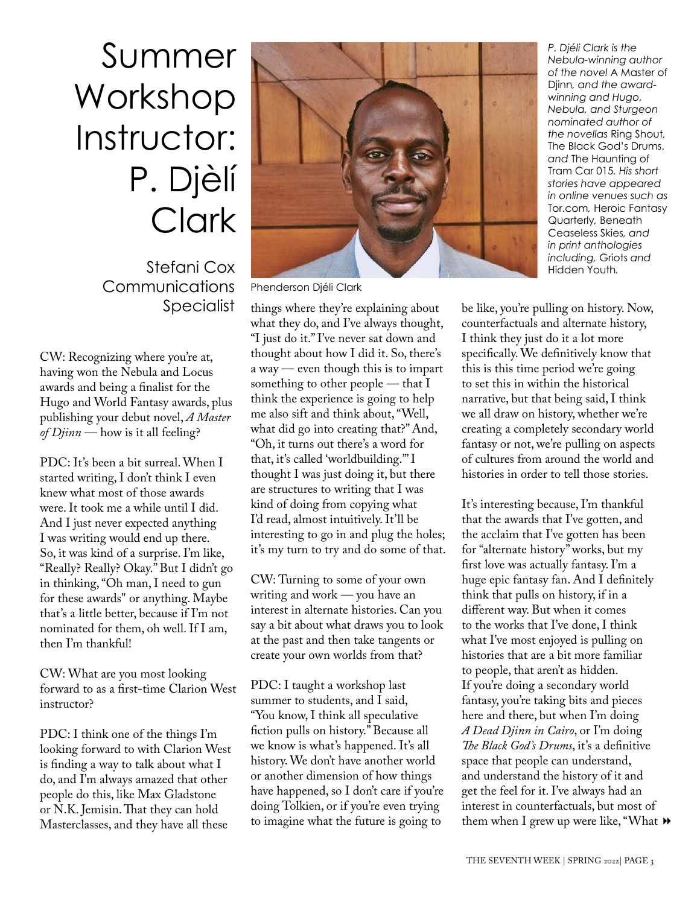# Summer Workshop Instructor: P. Djèlí **Clark**

Communications Specialist

CW: Recognizing where you're at, having won the Nebula and Locus awards and being a finalist for the Hugo and World Fantasy awards, plus publishing your debut novel, *A Master of Djinn* — how is it all feeling?

PDC: It's been a bit surreal. When I started writing, I don't think I even knew what most of those awards were. It took me a while until I did. And I just never expected anything I was writing would end up there. So, it was kind of a surprise. I'm like, "Really? Really? Okay." But I didn't go in thinking, "Oh man, I need to gun for these awards" or anything. Maybe that's a little better, because if I'm not nominated for them, oh well. If I am, then I'm thankful!

CW: What are you most looking forward to as a first-time Clarion West instructor?

PDC: I think one of the things I'm looking forward to with Clarion West is finding a way to talk about what I do, and I'm always amazed that other people do this, like Max Gladstone or N.K. Jemisin. That they can hold Masterclasses, and they have all these



Phenderson Djéli Clark

things where they're explaining about what they do, and I've always thought, "I just do it." I've never sat down and thought about how I did it. So, there's a way — even though this is to impart something to other people — that I think the experience is going to help me also sift and think about, "Well, what did go into creating that?" And, "Oh, it turns out there's a word for that, it's called 'worldbuilding.'" I thought I was just doing it, but there are structures to writing that I was kind of doing from copying what I'd read, almost intuitively. It'll be interesting to go in and plug the holes; it's my turn to try and do some of that.

CW: Turning to some of your own writing and work — you have an interest in alternate histories. Can you say a bit about what draws you to look at the past and then take tangents or create your own worlds from that?

PDC: I taught a workshop last summer to students, and I said, "You know, I think all speculative fiction pulls on history." Because all we know is what's happened. It's all history. We don't have another world or another dimension of how things have happened, so I don't care if you're doing Tolkien, or if you're even trying to imagine what the future is going to

*P. Djéli Clark is the Nebula-winning author of the novel* A Master of Djinn*, and the awardwinning and Hugo, Nebula, and Sturgeon nominated author of the novellas* Ring Shout*,*  The Black God's Drums, *and* The Haunting of Tram Car 015*. His short stories have appeared in online venues such as*  Tor.com*,* Heroic Fantasy Quarterly*,* Beneath Ceaseless Skies*, and in print anthologies* 

be like, you're pulling on history. Now, counterfactuals and alternate history, I think they just do it a lot more specifically. We definitively know that this is this time period we're going to set this in within the historical narrative, but that being said, I think we all draw on history, whether we're creating a completely secondary world fantasy or not, we're pulling on aspects of cultures from around the world and histories in order to tell those stories.

them when I grew up were like, "What  $\blacktriangleright$ It's interesting because, I'm thankful that the awards that I've gotten, and the acclaim that I've gotten has been for "alternate history" works, but my first love was actually fantasy. I'm a huge epic fantasy fan. And I definitely think that pulls on history, if in a different way. But when it comes to the works that I've done, I think what I've most enjoyed is pulling on histories that are a bit more familiar to people, that aren't as hidden. If you're doing a secondary world fantasy, you're taking bits and pieces here and there, but when I'm doing *A Dead Djinn in Cairo*, or I'm doing *The Black God's Drums*, it's a definitive space that people can understand, and understand the history of it and get the feel for it. I've always had an interest in counterfactuals, but most of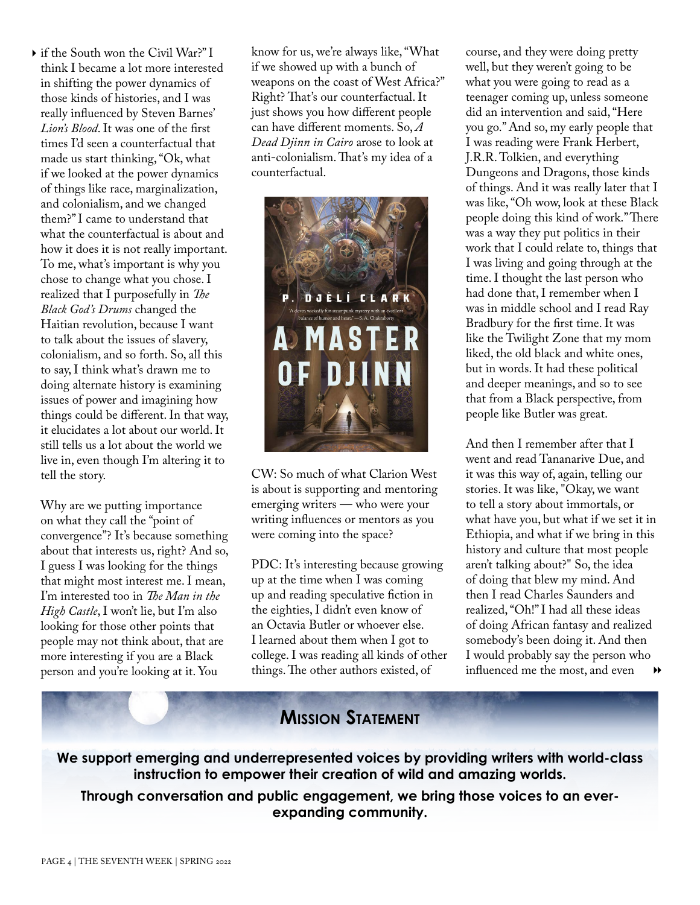if the South won the Civil War?" I think I became a lot more interested in shifting the power dynamics of those kinds of histories, and I was really influenced by Steven Barnes' *Lion's Blood*. It was one of the first times I'd seen a counterfactual that made us start thinking, "Ok, what if we looked at the power dynamics of things like race, marginalization, and colonialism, and we changed them?" I came to understand that what the counterfactual is about and how it does it is not really important. To me, what's important is why you chose to change what you chose. I realized that I purposefully in *The Black God's Drums* changed the Haitian revolution, because I want to talk about the issues of slavery, colonialism, and so forth. So, all this to say, I think what's drawn me to doing alternate history is examining issues of power and imagining how things could be different. In that way, it elucidates a lot about our world. It still tells us a lot about the world we live in, even though I'm altering it to tell the story.

Why are we putting importance on what they call the "point of convergence"? It's because something about that interests us, right? And so, I guess I was looking for the things that might most interest me. I mean, I'm interested too in *The Man in the High Castle*, I won't lie, but I'm also looking for those other points that people may not think about, that are more interesting if you are a Black person and you're looking at it. You

know for us, we're always like, "What if we showed up with a bunch of weapons on the coast of West Africa?" Right? That's our counterfactual. It just shows you how different people can have different moments. So, *A Dead Djinn in Cairo* arose to look at anti-colonialism. That's my idea of a counterfactual.



CW: So much of what Clarion West is about is supporting and mentoring emerging writers — who were your writing influences or mentors as you were coming into the space?

PDC: It's interesting because growing up at the time when I was coming up and reading speculative fiction in the eighties, I didn't even know of an Octavia Butler or whoever else. I learned about them when I got to college. I was reading all kinds of other things. The other authors existed, of

course, and they were doing pretty well, but they weren't going to be what you were going to read as a teenager coming up, unless someone did an intervention and said, "Here you go." And so, my early people that I was reading were Frank Herbert, J.R.R. Tolkien, and everything Dungeons and Dragons, those kinds of things. And it was really later that I was like, "Oh wow, look at these Black people doing this kind of work." There was a way they put politics in their work that I could relate to, things that I was living and going through at the time. I thought the last person who had done that, I remember when I was in middle school and I read Ray Bradbury for the first time. It was like the Twilight Zone that my mom liked, the old black and white ones, but in words. It had these political and deeper meanings, and so to see that from a Black perspective, from people like Butler was great.

▶▶ And then I remember after that I went and read Tananarive Due, and it was this way of, again, telling our stories. It was like, "Okay, we want to tell a story about immortals, or what have you, but what if we set it in Ethiopia, and what if we bring in this history and culture that most people aren't talking about?" So, the idea of doing that blew my mind. And then I read Charles Saunders and realized, "Oh!" I had all these ideas of doing African fantasy and realized somebody's been doing it. And then I would probably say the person who influenced me the most, and even

### **Mission Statement**

**We support emerging and underrepresented voices by providing writers with world-class instruction to empower their creation of wild and amazing worlds.**

**Through conversation and public engagement, we bring those voices to an everexpanding community.**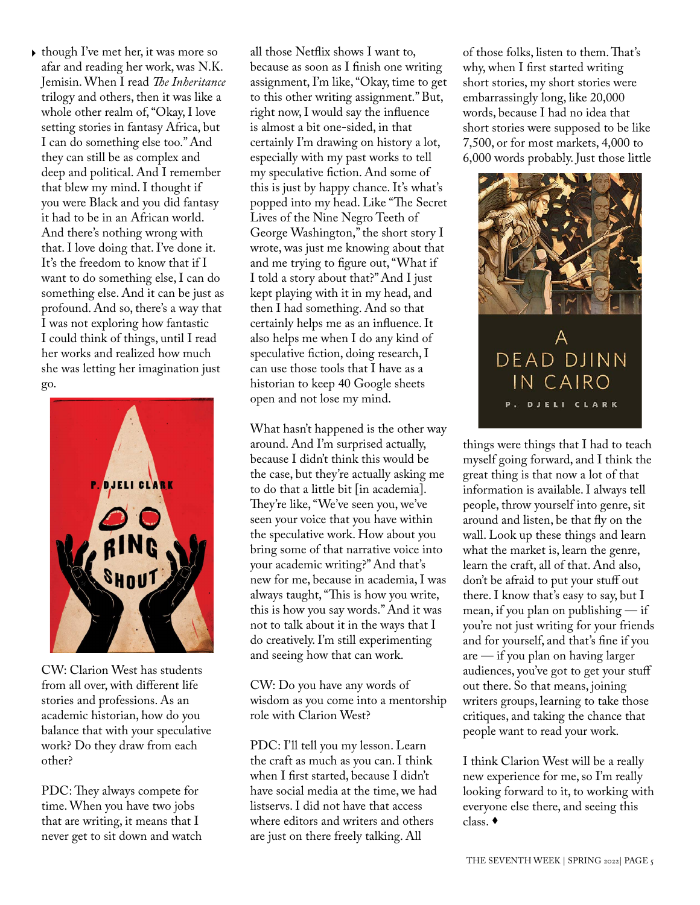• though I've met her, it was more so all those Netflix shows I want to, afar and reading her work, was N.K. Jemisin. When I read *The Inheritance* trilogy and others, then it was like a whole other realm of, "Okay, I love setting stories in fantasy Africa, but I can do something else too." And they can still be as complex and deep and political. And I remember that blew my mind. I thought if you were Black and you did fantasy it had to be in an African world. And there's nothing wrong with that. I love doing that. I've done it. It's the freedom to know that if I want to do something else, I can do something else. And it can be just as profound. And so, there's a way that I was not exploring how fantastic I could think of things, until I read her works and realized how much she was letting her imagination just go.



CW: Clarion West has students from all over, with different life stories and professions. As an academic historian, how do you balance that with your speculative work? Do they draw from each other?

PDC: They always compete for time. When you have two jobs that are writing, it means that I never get to sit down and watch because as soon as I finish one writing assignment, I'm like, "Okay, time to get to this other writing assignment." But, right now, I would say the influence is almost a bit one-sided, in that certainly I'm drawing on history a lot, especially with my past works to tell my speculative fiction. And some of this is just by happy chance. It's what's popped into my head. Like "The Secret Lives of the Nine Negro Teeth of George Washington," the short story I wrote, was just me knowing about that and me trying to figure out, "What if I told a story about that?" And I just kept playing with it in my head, and then I had something. And so that certainly helps me as an influence. It also helps me when I do any kind of speculative fiction, doing research, I can use those tools that I have as a historian to keep 40 Google sheets open and not lose my mind.

What hasn't happened is the other way around. And I'm surprised actually, because I didn't think this would be the case, but they're actually asking me to do that a little bit [in academia]. They're like, "We've seen you, we've seen your voice that you have within the speculative work. How about you bring some of that narrative voice into your academic writing?" And that's new for me, because in academia, I was always taught, "This is how you write, this is how you say words." And it was not to talk about it in the ways that I do creatively. I'm still experimenting and seeing how that can work.

CW: Do you have any words of wisdom as you come into a mentorship role with Clarion West?

PDC: I'll tell you my lesson. Learn the craft as much as you can. I think when I first started, because I didn't have social media at the time, we had listservs. I did not have that access where editors and writers and others are just on there freely talking. All

of those folks, listen to them. That's why, when I first started writing short stories, my short stories were embarrassingly long, like 20,000 words, because I had no idea that short stories were supposed to be like 7,500, or for most markets, 4,000 to 6,000 words probably. Just those little



things were things that I had to teach myself going forward, and I think the great thing is that now a lot of that information is available. I always tell people, throw yourself into genre, sit around and listen, be that fly on the wall. Look up these things and learn what the market is, learn the genre, learn the craft, all of that. And also, don't be afraid to put your stuff out there. I know that's easy to say, but I mean, if you plan on publishing  $-$  if you're not just writing for your friends and for yourself, and that's fine if you are — if you plan on having larger audiences, you've got to get your stuff out there. So that means, joining writers groups, learning to take those critiques, and taking the chance that people want to read your work.

I think Clarion West will be a really new experience for me, so I'm really looking forward to it, to working with everyone else there, and seeing this class.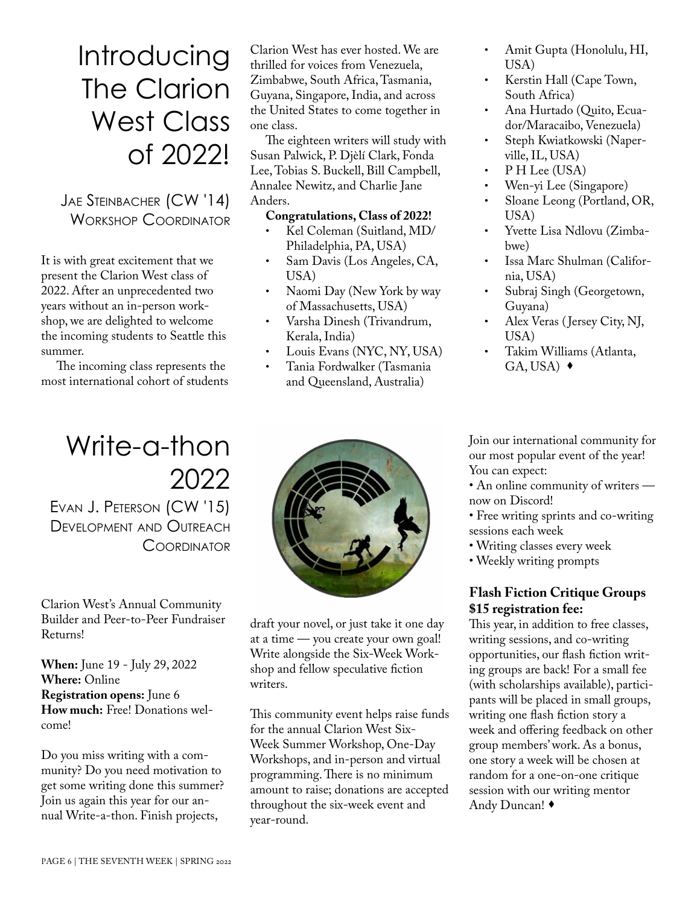Introducing The Clarion West Class of 2022!

Jae Steinbacher (CW '14) Workshop Coordinator

It is with great excitement that we present the Clarion West class of 2022. After an unprecedented two years without an in-person workshop, we are delighted to welcome the incoming students to Seattle this summer.

The incoming class represents the most international cohort of students

Write-a-thon

Evan J. Peterson (CW '15) Development and Outreach **COORDINATOR** 

Clarion West's Annual Community Builder and Peer-to-Peer Fundraiser Returns!

**When:** June 19 - July 29, 2022 **Where:** Online **Registration opens:** June 6 **How much:** Free! Donations welcome!

Do you miss writing with a community? Do you need motivation to get some writing done this summer? Join us again this year for our annual Write-a-thon. Finish projects,

2022

writers.

Clarion West has ever hosted. We are thrilled for voices from Venezuela, Zimbabwe, South Africa, Tasmania, Guyana, Singapore, India, and across the United States to come together in one class.

The eighteen writers will study with Susan Palwick, P. Djèlí Clark, Fonda Lee, Tobias S. Buckell, Bill Campbell, Annalee Newitz, and Charlie Jane Anders.

#### **Congratulations, Class of 2022!**

- Kel Coleman (Suitland, MD/ Philadelphia, PA, USA)
- Sam Davis (Los Angeles, CA, USA)
- Naomi Day (New York by way of Massachusetts, USA)
- Varsha Dinesh (Trivandrum, Kerala, India)
- Louis Evans (NYC, NY, USA)
- Tania Fordwalker (Tasmania and Queensland, Australia)
- Amit Gupta (Honolulu, HI, USA)
- Kerstin Hall (Cape Town, South Africa)
- Ana Hurtado (Quito, Ecuador/Maracaibo, Venezuela)
- Steph Kwiatkowski (Naperville, IL, USA)
- P H Lee (USA)
- Wen-yi Lee (Singapore)
- Sloane Leong (Portland, OR, USA)
- Yvette Lisa Ndlovu (Zimbabwe)
- Issa Marc Shulman (California, USA)
- Subraj Singh (Georgetown, Guyana)
- Alex Veras ( Jersey City, NJ, USA)
- Takim Williams (Atlanta,  $GA, USA)$   $\rightarrow$

Join our international community for our most popular event of the year! You can expect:

• An online community of writers now on Discord!

• Free writing sprints and co-writing sessions each week

- Writing classes every week
- Weekly writing prompts

#### **Flash Fiction Critique Groups \$15 registration fee:**

This year, in addition to free classes, writing sessions, and co-writing opportunities, our flash fiction writing groups are back! For a small fee (with scholarships available), participants will be placed in small groups, writing one flash fiction story a week and offering feedback on other group members' work. As a bonus, one story a week will be chosen at random for a one-on-one critique session with our writing mentor Andy Duncan!

draft your novel, or just take it one day at a time — you create your own goal!

Write alongside the Six-Week Workshop and fellow speculative fiction

This community event helps raise funds for the annual Clarion West Six-Week Summer Workshop, One-Day Workshops, and in-person and virtual programming. There is no minimum amount to raise; donations are accepted throughout the six-week event and year-round.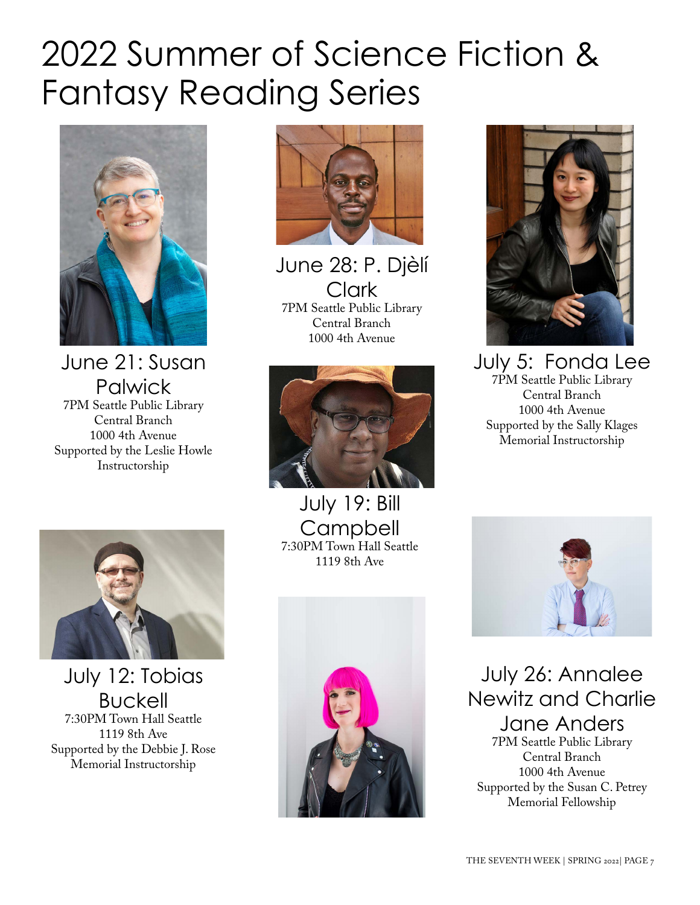# 2022 Summer of Science Fiction & Fantasy Reading Series



June 21: Susan **Palwick** 7PM Seattle Public Library Central Branch 1000 4th Avenue Supported by the Leslie Howle Instructorship



July 12: Tobias Buckell 7:30PM Town Hall Seattle 1119 8th Ave Supported by the Debbie J. Rose Memorial Instructorship



June 28: P. Djèlí Clark 7PM Seattle Public Library Central Branch 1000 4th Avenue



July 19: Bill **Campbell** 7:30PM Town Hall Seattle 1119 8th Ave





July 5: Fonda Lee 7PM Seattle Public Library Central Branch 1000 4th Avenue Supported by the Sally Klages Memorial Instructorship



July 26: Annalee Newitz and Charlie Jane Anders 7PM Seattle Public Library Central Branch 1000 4th Avenue Supported by the Susan C. Petrey Memorial Fellowship